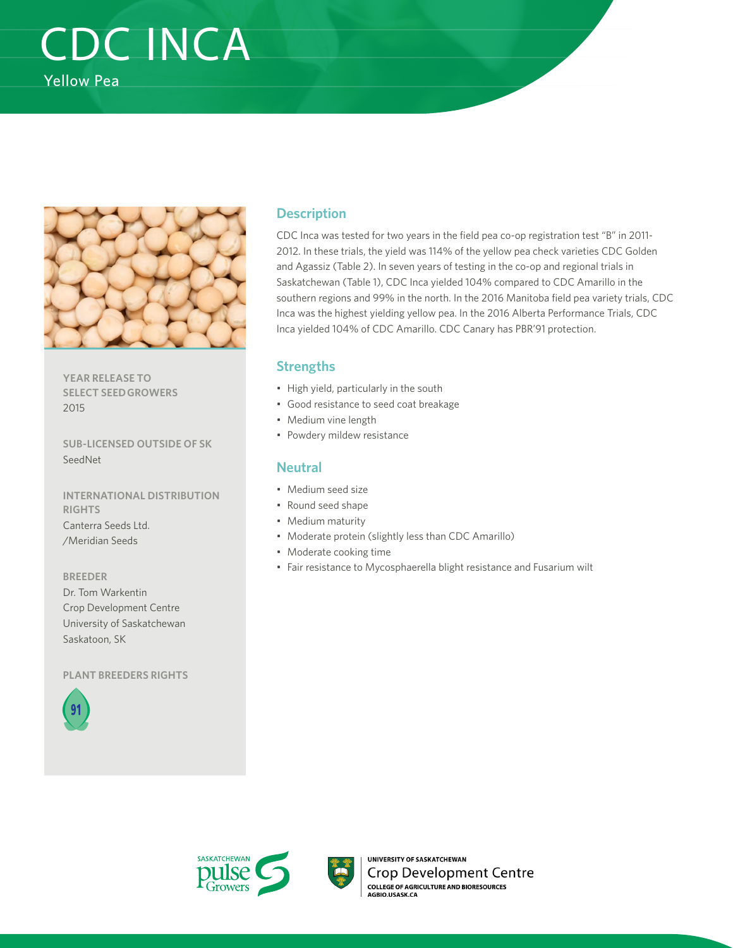# CDC INCA Yellow Pea



**YEAR RELEASE TO SELECT SEED GROWERS**  2015

**SUB-LICENSED OUTSIDE OF SK**  SeedNet

**INTERNATIONAL DISTRIBUTION RIGHTS**  Canterra Seeds Ltd. /Meridian Seeds

**BREEDER** Dr. Tom Warkentin Crop Development Centre University of Saskatchewan Saskatoon, SK

**PLANT BREEDERS RIGHTS**



### **Description**

CDC Inca was tested for two years in the field pea co-op registration test "B" in 2011- 2012. In these trials, the yield was 114% of the yellow pea check varieties CDC Golden and Agassiz (Table 2). In seven years of testing in the co-op and regional trials in Saskatchewan (Table 1), CDC Inca yielded 104% compared to CDC Amarillo in the southern regions and 99% in the north. In the 2016 Manitoba field pea variety trials, CDC Inca was the highest yielding yellow pea. In the 2016 Alberta Performance Trials, CDC Inca yielded 104% of CDC Amarillo. CDC Canary has PBR'91 protection.

#### **Strengths**

- High yield, particularly in the south
- Good resistance to seed coat breakage
- Medium vine length
- Powdery mildew resistance

#### **Neutral**

- Medium seed size
- Round seed shape
- Medium maturity
- Moderate protein (slightly less than CDC Amarillo)
- Moderate cooking time
- Fair resistance to Mycosphaerella blight resistance and Fusarium wilt





UNIVERSITY OF SASKATCHEWAN Crop Development Centre **COLLEGE OF AGRICULTURE AND BIORESOURCES**<br>AGBIO.USASK.CA